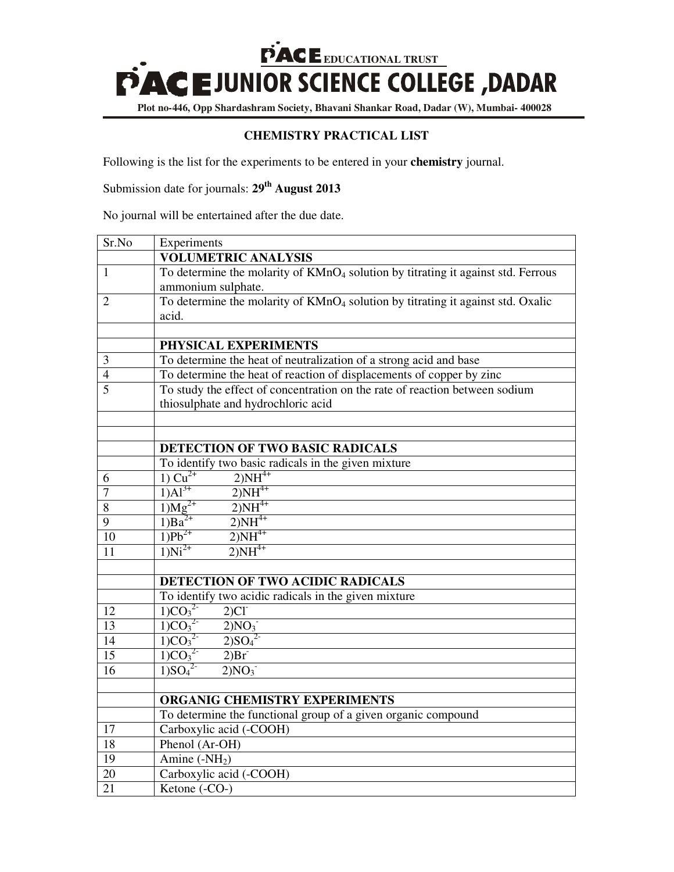**EXAMPLE SCIENCE COLLEGE**, DADAR

**Plot no-446, Opp Shardashram Society, Bhavani Shankar Road, Dadar (W), Mumbai- 400028**

## **CHEMISTRY PRACTICAL LIST**

Following is the list for the experiments to be entered in your **chemistry** journal.

Submission date for journals: **29th August 2013**

No journal will be entertained after the due date.

| Sr.No               | Experiments                                                                                                                |  |  |
|---------------------|----------------------------------------------------------------------------------------------------------------------------|--|--|
|                     | <b>VOLUMETRIC ANALYSIS</b>                                                                                                 |  |  |
| $\mathbf{1}$        | To determine the molarity of KMnO <sub>4</sub> solution by titrating it against std. Ferrous                               |  |  |
|                     | ammonium sulphate.                                                                                                         |  |  |
| 2                   | To determine the molarity of KMnO <sub>4</sub> solution by titrating it against std. Oxalic                                |  |  |
|                     | acid.                                                                                                                      |  |  |
|                     |                                                                                                                            |  |  |
|                     | PHYSICAL EXPERIMENTS                                                                                                       |  |  |
| 3                   | To determine the heat of neutralization of a strong acid and base                                                          |  |  |
| $\overline{4}$      | To determine the heat of reaction of displacements of copper by zinc                                                       |  |  |
| 5                   | To study the effect of concentration on the rate of reaction between sodium                                                |  |  |
|                     | thiosulphate and hydrochloric acid                                                                                         |  |  |
|                     |                                                                                                                            |  |  |
|                     |                                                                                                                            |  |  |
|                     | DETECTION OF TWO BASIC RADICALS<br>To identify two basic radicals in the given mixture                                     |  |  |
|                     | $2)NH^{4+}$<br>1) $Cu^{2+}$                                                                                                |  |  |
| 6<br>$\overline{7}$ | $1)Al^{3+}$<br>$2)NH^{4+}$                                                                                                 |  |  |
| $\overline{8}$      | $2)NH^{4+}$<br>$1)Mg^{2+}$                                                                                                 |  |  |
| 9                   | $1)$ Ba <sup>2+</sup><br>$2)NH^{4+}$                                                                                       |  |  |
| 10                  | $2)NH^{4+}$<br>$1)Pb^{2+}$                                                                                                 |  |  |
| 11                  | $1)Ni^{2+}$<br>$2)NH^{4+}$                                                                                                 |  |  |
|                     |                                                                                                                            |  |  |
|                     | DETECTION OF TWO ACIDIC RADICALS                                                                                           |  |  |
|                     | To identify two acidic radicals in the given mixture                                                                       |  |  |
| 12                  | $2)Cl^{-}$                                                                                                                 |  |  |
| 13                  | $\frac{1)CO_3^{2}}{1)CO_3^{2}}$<br>$\frac{1)CO_3^{2}}{1)CO_3^{2}}$<br>$\frac{1)CO_3^{2}}{1)CO_3^{2}}$<br>2)NO <sub>3</sub> |  |  |
| 14                  | 2)SO <sub>4</sub> <sup>2</sup>                                                                                             |  |  |
| $\overline{15}$     | 2)Br                                                                                                                       |  |  |
| 16                  | $\frac{1}{1}SO_4^2$<br>2)NO <sub>3</sub>                                                                                   |  |  |
|                     |                                                                                                                            |  |  |
|                     | ORGANIG CHEMISTRY EXPERIMENTS<br>To determine the functional group of a given organic compound                             |  |  |
|                     |                                                                                                                            |  |  |
| 17                  | Carboxylic acid (-COOH)                                                                                                    |  |  |
| 18                  | Phenol (Ar-OH)                                                                                                             |  |  |
| $\overline{19}$     | Amine $(-NH2)$                                                                                                             |  |  |
| 20                  | Carboxylic acid (-COOH)                                                                                                    |  |  |
| 21                  | Ketone (-CO-)                                                                                                              |  |  |